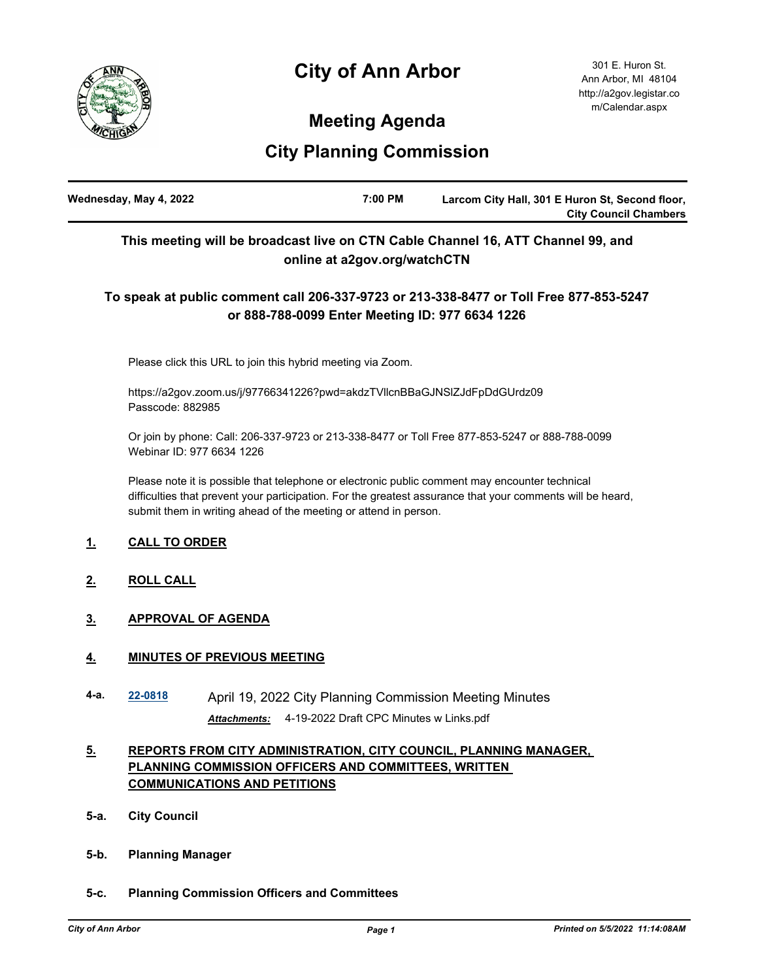# **City of Ann Arbor**



301 E. Huron St. Ann Arbor, MI 48104 http://a2gov.legistar.co m/Calendar.aspx

# **Meeting Agenda**

# **City Planning Commission**

| Wednesday, May 4, 2022 | 7:00 PM | Larcom City Hall, 301 E Huron St, Second floor, |
|------------------------|---------|-------------------------------------------------|
|                        |         | <b>City Council Chambers</b>                    |

# **This meeting will be broadcast live on CTN Cable Channel 16, ATT Channel 99, and online at a2gov.org/watchCTN**

# **To speak at public comment call 206-337-9723 or 213-338-8477 or Toll Free 877-853-5247 or 888-788-0099 Enter Meeting ID: 977 6634 1226**

Please click this URL to join this hybrid meeting via Zoom.

https://a2gov.zoom.us/j/97766341226?pwd=akdzTVllcnBBaGJNSlZJdFpDdGUrdz09 Passcode: 882985

Or join by phone: Call: 206-337-9723 or 213-338-8477 or Toll Free 877-853-5247 or 888-788-0099 Webinar ID: 977 6634 1226

Please note it is possible that telephone or electronic public comment may encounter technical difficulties that prevent your participation. For the greatest assurance that your comments will be heard, submit them in writing ahead of the meeting or attend in person.

## **1. CALL TO ORDER**

- **2. ROLL CALL**
- **3. APPROVAL OF AGENDA**

## **4. MINUTES OF PREVIOUS MEETING**

**4-a. [22-0818](http://a2gov.legistar.com/gateway.aspx?M=L&ID=29994)** April 19, 2022 City Planning Commission Meeting Minutes *Attachments:* 4-19-2022 Draft CPC Minutes w Links.pdf

## **5. REPORTS FROM CITY ADMINISTRATION, CITY COUNCIL, PLANNING MANAGER, PLANNING COMMISSION OFFICERS AND COMMITTEES, WRITTEN COMMUNICATIONS AND PETITIONS**

- **5-a. City Council**
- **5-b. Planning Manager**
- **5-c. Planning Commission Officers and Committees**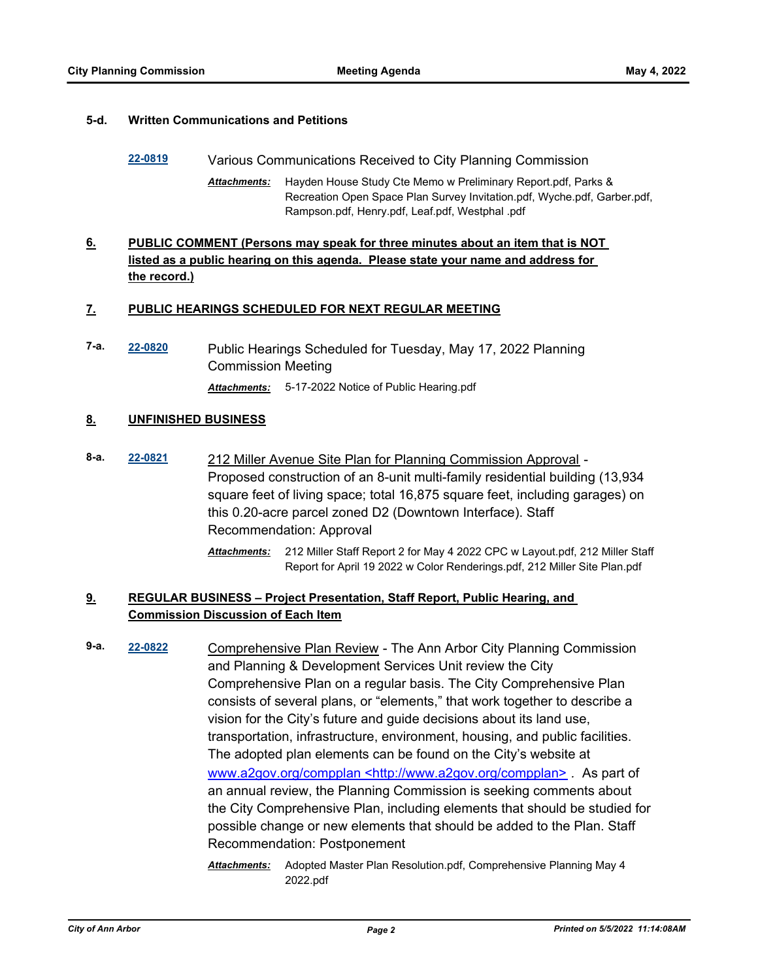### **5-d. Written Communications and Petitions**

- **[22-0819](http://a2gov.legistar.com/gateway.aspx?M=L&ID=29995)** Various Communications Received to City Planning Commission
	- Hayden House Study Cte Memo w Preliminary Report.pdf, Parks & Recreation Open Space Plan Survey Invitation.pdf, Wyche.pdf, Garber.pdf, Rampson.pdf, Henry.pdf, Leaf.pdf, Westphal .pdf *Attachments:*

## **6. PUBLIC COMMENT (Persons may speak for three minutes about an item that is NOT listed as a public hearing on this agenda. Please state your name and address for the record.)**

### **7. PUBLIC HEARINGS SCHEDULED FOR NEXT REGULAR MEETING**

**7-a. [22-0820](http://a2gov.legistar.com/gateway.aspx?M=L&ID=29996)** Public Hearings Scheduled for Tuesday, May 17, 2022 Planning Commission Meeting *Attachments:* 5-17-2022 Notice of Public Hearing.pdf

### **8. UNFINISHED BUSINESS**

**8-a. [22-0821](http://a2gov.legistar.com/gateway.aspx?M=L&ID=29997)** 212 Miller Avenue Site Plan for Planning Commission Approval - Proposed construction of an 8-unit multi-family residential building (13,934 square feet of living space; total 16,875 square feet, including garages) on this 0.20-acre parcel zoned D2 (Downtown Interface). Staff Recommendation: Approval

> 212 Miller Staff Report 2 for May 4 2022 CPC w Layout.pdf, 212 Miller Staff *Attachments:* Report for April 19 2022 w Color Renderings.pdf, 212 Miller Site Plan.pdf

## **9. REGULAR BUSINESS – Project Presentation, Staff Report, Public Hearing, and Commission Discussion of Each Item**

- **9-a. [22-0822](http://a2gov.legistar.com/gateway.aspx?M=L&ID=29998)** Comprehensive Plan Review The Ann Arbor City Planning Commission and Planning & Development Services Unit review the City Comprehensive Plan on a regular basis. The City Comprehensive Plan consists of several plans, or "elements," that work together to describe a vision for the City's future and guide decisions about its land use, transportation, infrastructure, environment, housing, and public facilities. The adopted plan elements can be found on the City's website at www.a2gov.org/compplan <http://www.a2gov.org/compplan> *.* As part of an annual review, the Planning Commission is seeking comments about the City Comprehensive Plan, including elements that should be studied for possible change or new elements that should be added to the Plan. Staff Recommendation: Postponement
	- Attachments: Adopted Master Plan Resolution.pdf, Comprehensive Planning May 4 2022.pdf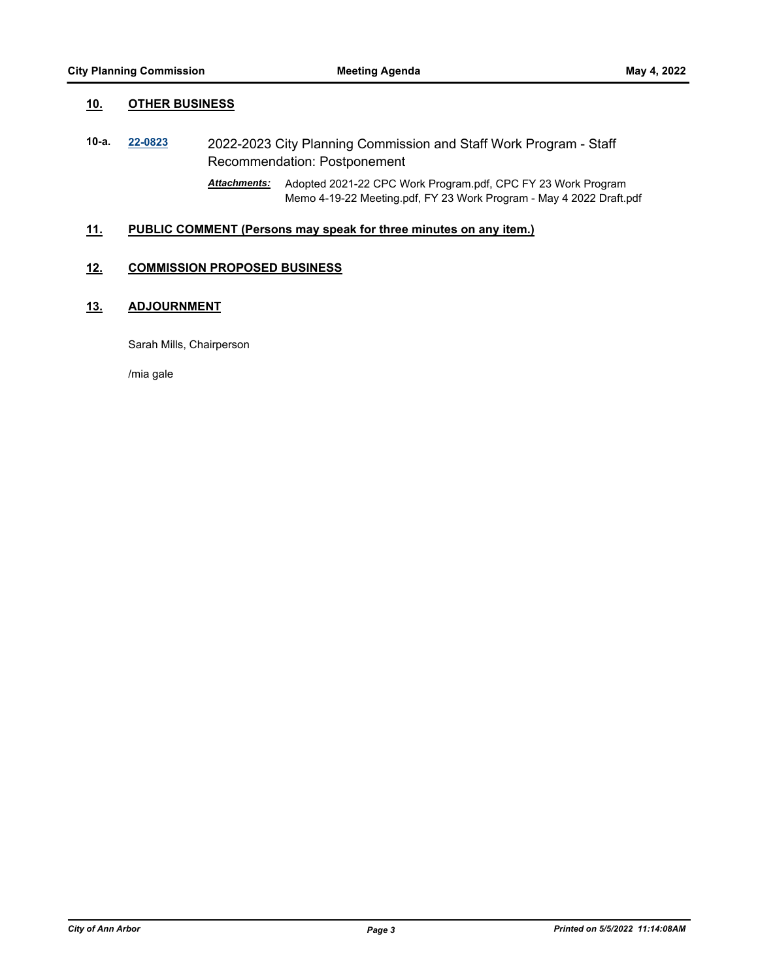### **10. OTHER BUSINESS**

- **10-a. [22-0823](http://a2gov.legistar.com/gateway.aspx?M=L&ID=29999)** 2022-2023 City Planning Commission and Staff Work Program Staff Recommendation: Postponement
	- Attachments: Adopted 2021-22 CPC Work Program.pdf, CPC FY 23 Work Program Memo 4-19-22 Meeting.pdf, FY 23 Work Program - May 4 2022 Draft.pdf

### **11. PUBLIC COMMENT (Persons may speak for three minutes on any item.)**

### **12. COMMISSION PROPOSED BUSINESS**

## **13. ADJOURNMENT**

Sarah Mills, Chairperson

/mia gale